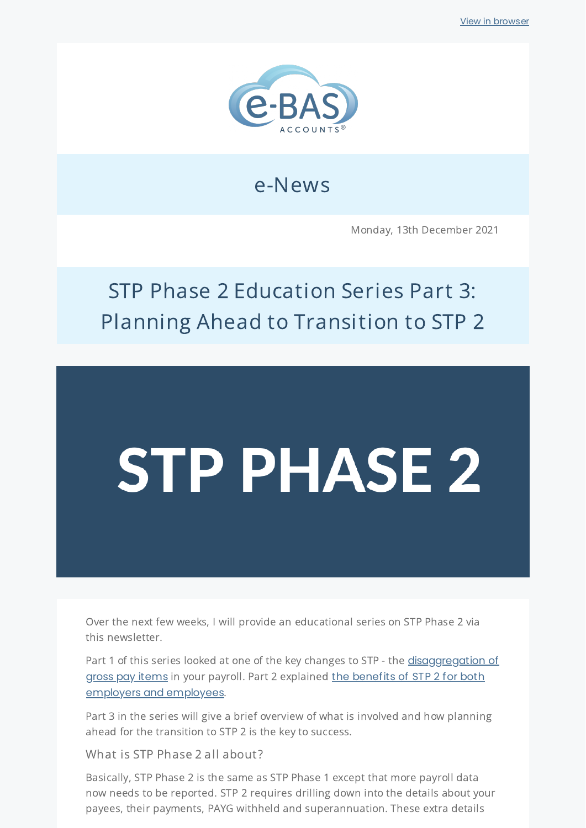

## e-News

Monday, 13th December 2021

## STP Phase 2 Education Series Part 3: Planning Ahead to Transition to STP 2

# **STP PHASE 2**

Over the next few weeks, I will provide an educational series on STP Phase 2 via this newsletter.

Part 1 of this series looked at one of the key changes to STP - the [disaggregation](https://bit.ly/3IkFlBd) of gross pay items in your payroll. Part 2 explained the benefits of STP 2 for both employers and [employees](https://bit.ly/3pTGzLf).

Part 3 in the series will give a brief overview of what is involved and how planning ahead for the transition to STP 2 is the key to success.

What is STP Phase 2 all about?

Basically, STP Phase 2 is the same as STP Phase 1 except that more payroll data now needs to be reported. STP 2 requires drilling down into the details about your payees, their payments, PAYG withheld and superannuation. These extra details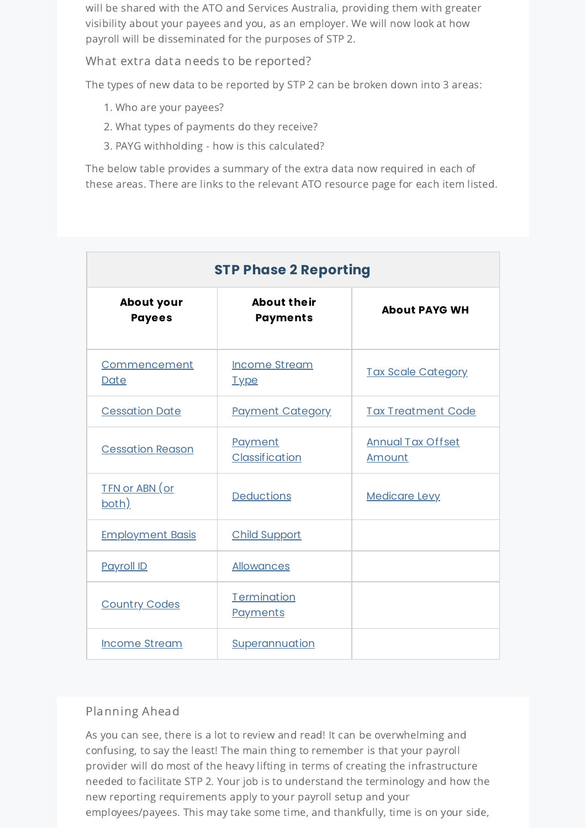will be shared with the ATO and Services Australia, providing them with greater visibility about your payees and you, as an employer. We will now look at how payroll will be disseminated for the purposes of STP 2.

What extra data needs to be reported?

The types of new data to be reported by STP 2 can be broken down into 3 areas:

- 1. Who are your payees?
- 2. What types of payments do they receive?
- 3. PAYG withholding how is this calculated?

The below table provides a summary of the extra data now required in each of these areas. There are links to the relevant ATO resource page for each item listed.

| <b>STP Phase 2 Reporting</b>       |                                       |                                    |
|------------------------------------|---------------------------------------|------------------------------------|
| <b>About your</b><br><b>Payees</b> | <b>About their</b><br><b>Payments</b> | <b>About PAYG WH</b>               |
| <b>Commencement</b><br>Date        | <b>Income Stream</b><br><u>Type</u>   | <b>Tax Scale Category</b>          |
| <b>Cessation Date</b>              | <b>Payment Category</b>               | <b>Tax Treatment Code</b>          |
| <b>Cessation Reason</b>            | Payment<br>Classification             | <b>Annual Tax Offset</b><br>Amount |
| <u>TFN or ABN (or</u><br>both)     | <b>Deductions</b>                     | <b>Medicare Levy</b>               |
| <b>Employment Basis</b>            | <b>Child Support</b>                  |                                    |
| <b>Payroll ID</b>                  | <b>Allowances</b>                     |                                    |
| <b>Country Codes</b>               | Termination<br>Payments               |                                    |
| <b>Income Stream</b>               | Superannuation                        |                                    |

### Planning Ahead

As you can see, there is a lot to review and read! It can be overwhelming and confusing, to say the least! The main thing to remember is that your payroll provider will do most of the heavy lifting in terms of creating the infrastructure needed to facilitate STP 2. Your job is to understand the terminology and how the new reporting requirements apply to your payroll setup and your employees/payees. This may take some time, and thankfully, time is on your side,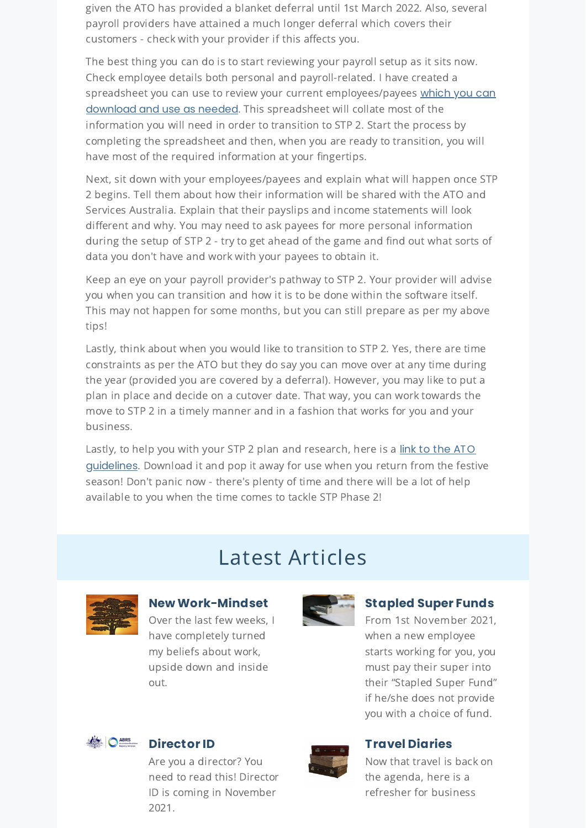given the ATO has provided a blanket deferral until 1st March 2022. Also, several payroll providers have attained a much longer deferral which covers their customers - check with your provider if this affects you.

The best thing you can do is to start reviewing your payroll setup as it sits now. Check employee details both personal and payroll-related. I have created a spreadsheet you can use to review your current [employees/payees](https://www.e-bas.com.au/download/employee-review-worksheet-for-stp-phase-2/) which you can download and use as needed. This spreadsheet will collate most of the information you will need in order to transition to STP 2. Start the process by completing the spreadsheet and then, when you are ready to transition, you will have most of the required information at your fingertips.

Next, sit down with your employees/payees and explain what will happen once STP 2 begins. Tell them about how their information will be shared with the ATO and Services Australia. Explain that their payslips and income statements will look different and why. You may need to ask payees for more personal information during the setup of STP 2 - try to get ahead of the game and find out what sorts of data you don't have and work with your payees to obtain it.

Keep an eye on your payroll provider's pathway to STP 2. Your provider will advise you when you can transition and how it is to be done within the software itself. This may not happen for some months, but you can still prepare as per my above tips!

Lastly, think about when you would like to transition to STP 2. Yes, there are time constraints as per the ATO but they do say you can move over at any time during the year (provided you are covered by a deferral). However, you may like to put a plan in place and decide on a cutover date. That way, you can work towards the move to STP 2 in a timely manner and in a fashion that works for you and your business.

Lastly, to help you with your STP 2 plan and research, here is a link to the ATO [guidelines](https://www.e-bas.com.au/download/ato-guidelines-for-stp-phase-2/). Download it and pop it away for use when you return from the festive season! Don't panic now - there's plenty of time and there will be a lot of help available to you when the time comes to tackle STP Phase 2!

## Latest Articles



#### **New [Work-Mindset](https://www.e-bas.com.au/new-work-mindset/)**

Over the last few weeks, I have completely turned my beliefs about work, upside down and inside out.



## **[Stapled](https://www.e-bas.com.au/stapled-super-funds/) Super Funds**

From 1st November 2021, when a new employee starts working for you, you must pay their super into their "Stapled Super Fund" if he/she does not provide you with a choice of fund.



## **[Director](https://www.e-bas.com.au/director-id/) ID**

Are you a director? You need to read this! Director ID is coming in November 2021.



#### **Travel [Diaries](https://www.e-bas.com.au/travel-diaries/)**

Now that travel is back on the agenda, here is a refresher for business